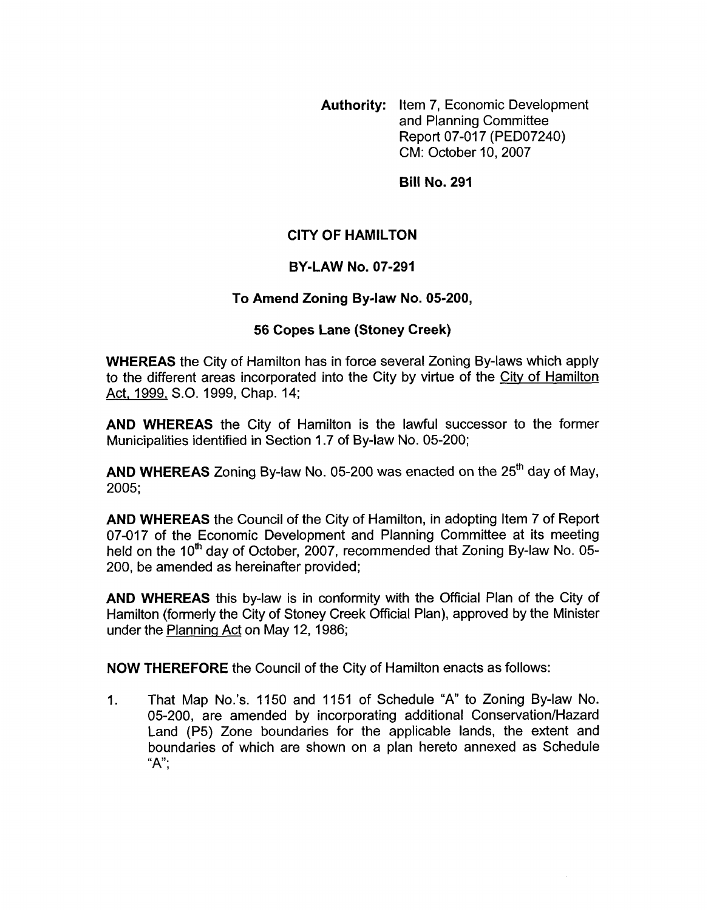**Authority:** Item 7, Economic Development and Planning Committee Report 07-017 (PED07240) CM: October 10,2007

**Bill No. 291** 

# **CITY OF HAMILTON**

## **BY-LAW NO. 07-291**

#### **To Amend Zoning Bylaw No. 05-200,**

#### **56 Copes Lane (Stoney Creek)**

**WHEREAS** the City of Hamilton has in force several Zoning By-laws which apply to the different areas incorporated into the City by virtue of the Citv of Hamilton Act, 1999, S.O. 1999, Chap. 14;

**AND WHEREAS** the City of Hamilton is the lawful successor to the former Municipalities identified in Section 1.7 of By-law No. 05-200;

**AND WHEREAS** Zoning By-law No. 05-200 was enacted on the 25'h day of May, 2005;

**AND WHEREAS** the Council of the City of Hamilton, in adopting Item 7 of Report 07-017 of the Economic Development and Planning Committee at its meeting held on the 10<sup>th</sup> day of October, 2007, recommended that Zoning By-law No. 05-200, be amended as hereinafter provided;

**AND WHEREAS** this by-law is in conformity with the Official Plan of the City of Hamilton (formerly the City of Stoney Creek Official Plan), approved by the Minister under the Planning Act on May 12, 1986;

**NOW THEREFORE** the Council of the City of Hamilton enacts as follows:

1. That Map No.'s. 1150 and 1151 of Schedule **"A"** to Zoning By-law No. 05-200, are amended by incorporating additional Conservation/Hazard Land (P5) Zone boundaries for the applicable lands, the extent and boundaries of which are shown on a plan hereto annexed as Schedule " $A$ ";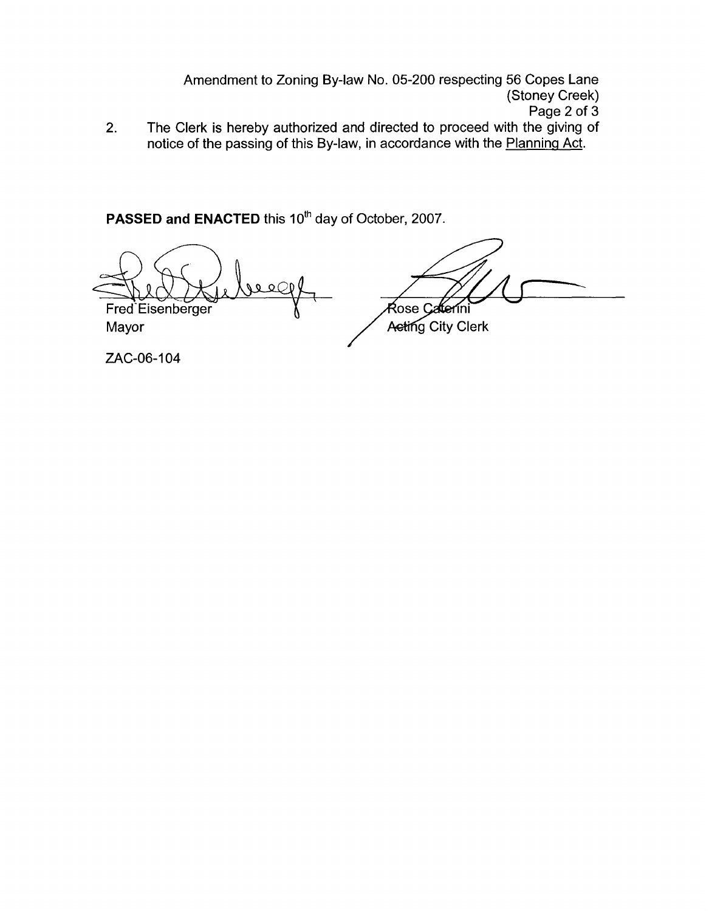Amendment to Zoning By-law No. 05-200 respecting 56 Copes Lane (Stoney Creek) Page 2 of 3

The Clerk is hereby authorized and directed to proceed with the giving of notice of the passing of this By-law, in accordance with the Planning Act. 2.

PASSED and ENACTED this 10<sup>th</sup> day of October, 2007.

 $Q$   $Q$   $C$ 

Fred Eisenberger Mayor

Rose Caterini Acting City Clerk

ZAC-06-104